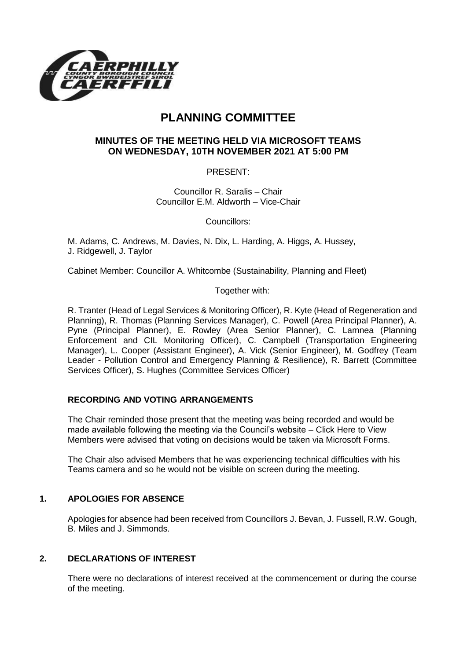

# **PLANNING COMMITTEE**

# **MINUTES OF THE MEETING HELD VIA MICROSOFT TEAMS ON WEDNESDAY, 10TH NOVEMBER 2021 AT 5:00 PM**

PRESENT:

Councillor R. Saralis – Chair Councillor E.M. Aldworth – Vice-Chair

Councillors:

M. Adams, C. Andrews, M. Davies, N. Dix, L. Harding, A. Higgs, A. Hussey, J. Ridgewell, J. Taylor

Cabinet Member: Councillor A. Whitcombe (Sustainability, Planning and Fleet)

Together with:

R. Tranter (Head of Legal Services & Monitoring Officer), R. Kyte (Head of Regeneration and Planning), R. Thomas (Planning Services Manager), C. Powell (Area Principal Planner), A. Pyne (Principal Planner), E. Rowley (Area Senior Planner), C. Lamnea (Planning Enforcement and CIL Monitoring Officer), C. Campbell (Transportation Engineering Manager), L. Cooper (Assistant Engineer), A. Vick (Senior Engineer), M. Godfrey (Team Leader - Pollution Control and Emergency Planning & Resilience), R. Barrett (Committee Services Officer), S. Hughes (Committee Services Officer)

# **RECORDING AND VOTING ARRANGEMENTS**

The Chair reminded those present that the meeting was being recorded and would be made available following the meeting via the Council's website – [Click Here to View](https://www.caerphilly.gov.uk/My-Council/Meetings,-agendas,-minutes-and-reports/Council-meetings?lang=en-GB) Members were advised that voting on decisions would be taken via Microsoft Forms.

The Chair also advised Members that he was experiencing technical difficulties with his Teams camera and so he would not be visible on screen during the meeting.

# **1. APOLOGIES FOR ABSENCE**

Apologies for absence had been received from Councillors J. Bevan, J. Fussell, R.W. Gough, B. Miles and J. Simmonds.

# **2. DECLARATIONS OF INTEREST**

There were no declarations of interest received at the commencement or during the course of the meeting.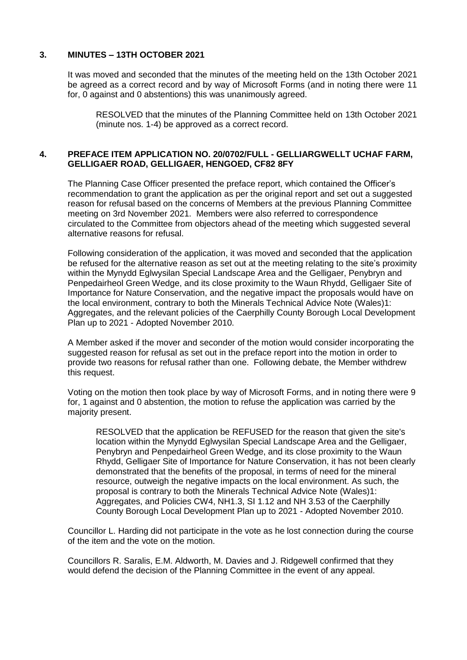# **3. MINUTES – 13TH OCTOBER 2021**

It was moved and seconded that the minutes of the meeting held on the 13th October 2021 be agreed as a correct record and by way of Microsoft Forms (and in noting there were 11 for, 0 against and 0 abstentions) this was unanimously agreed.

RESOLVED that the minutes of the Planning Committee held on 13th October 2021 (minute nos. 1-4) be approved as a correct record.

# **4. PREFACE ITEM APPLICATION NO. 20/0702/FULL - GELLIARGWELLT UCHAF FARM, GELLIGAER ROAD, GELLIGAER, HENGOED, CF82 8FY**

The Planning Case Officer presented the preface report, which contained the Officer's recommendation to grant the application as per the original report and set out a suggested reason for refusal based on the concerns of Members at the previous Planning Committee meeting on 3rd November 2021. Members were also referred to correspondence circulated to the Committee from objectors ahead of the meeting which suggested several alternative reasons for refusal.

Following consideration of the application, it was moved and seconded that the application be refused for the alternative reason as set out at the meeting relating to the site's proximity within the Mynydd Eglwysilan Special Landscape Area and the Gelligaer, Penybryn and Penpedairheol Green Wedge, and its close proximity to the Waun Rhydd, Gelligaer Site of Importance for Nature Conservation, and the negative impact the proposals would have on the local environment, contrary to both the Minerals Technical Advice Note (Wales)1: Aggregates, and the relevant policies of the Caerphilly County Borough Local Development Plan up to 2021 - Adopted November 2010.

A Member asked if the mover and seconder of the motion would consider incorporating the suggested reason for refusal as set out in the preface report into the motion in order to provide two reasons for refusal rather than one. Following debate, the Member withdrew this request.

Voting on the motion then took place by way of Microsoft Forms, and in noting there were 9 for, 1 against and 0 abstention, the motion to refuse the application was carried by the majority present.

RESOLVED that the application be REFUSED for the reason that given the site's location within the Mynydd Eglwysilan Special Landscape Area and the Gelligaer, Penybryn and Penpedairheol Green Wedge, and its close proximity to the Waun Rhydd, Gelligaer Site of Importance for Nature Conservation, it has not been clearly demonstrated that the benefits of the proposal, in terms of need for the mineral resource, outweigh the negative impacts on the local environment. As such, the proposal is contrary to both the Minerals Technical Advice Note (Wales)1: Aggregates, and Policies CW4, NH1.3, SI 1.12 and NH 3.53 of the Caerphilly County Borough Local Development Plan up to 2021 - Adopted November 2010.

Councillor L. Harding did not participate in the vote as he lost connection during the course of the item and the vote on the motion.

Councillors R. Saralis, E.M. Aldworth, M. Davies and J. Ridgewell confirmed that they would defend the decision of the Planning Committee in the event of any appeal.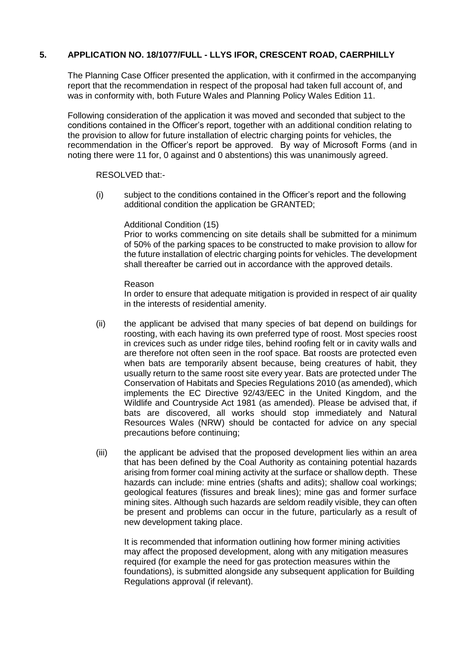# **5. APPLICATION NO. 18/1077/FULL - LLYS IFOR, CRESCENT ROAD, CAERPHILLY**

The Planning Case Officer presented the application, with it confirmed in the accompanying report that the recommendation in respect of the proposal had taken full account of, and was in conformity with, both Future Wales and Planning Policy Wales Edition 11.

Following consideration of the application it was moved and seconded that subject to the conditions contained in the Officer's report, together with an additional condition relating to the provision to allow for future installation of electric charging points for vehicles, the recommendation in the Officer's report be approved. By way of Microsoft Forms (and in noting there were 11 for, 0 against and 0 abstentions) this was unanimously agreed.

#### RESOLVED that:-

(i) subject to the conditions contained in the Officer's report and the following additional condition the application be GRANTED;

#### Additional Condition (15)

Prior to works commencing on site details shall be submitted for a minimum of 50% of the parking spaces to be constructed to make provision to allow for the future installation of electric charging points for vehicles. The development shall thereafter be carried out in accordance with the approved details.

#### Reason

In order to ensure that adequate mitigation is provided in respect of air quality in the interests of residential amenity.

- (ii) the applicant be advised that many species of bat depend on buildings for roosting, with each having its own preferred type of roost. Most species roost in crevices such as under ridge tiles, behind roofing felt or in cavity walls and are therefore not often seen in the roof space. Bat roosts are protected even when bats are temporarily absent because, being creatures of habit, they usually return to the same roost site every year. Bats are protected under The Conservation of Habitats and Species Regulations 2010 (as amended), which implements the EC Directive 92/43/EEC in the United Kingdom, and the Wildlife and Countryside Act 1981 (as amended). Please be advised that, if bats are discovered, all works should stop immediately and Natural Resources Wales (NRW) should be contacted for advice on any special precautions before continuing;
- (iii) the applicant be advised that the proposed development lies within an area that has been defined by the Coal Authority as containing potential hazards arising from former coal mining activity at the surface or shallow depth. These hazards can include: mine entries (shafts and adits); shallow coal workings; geological features (fissures and break lines); mine gas and former surface mining sites. Although such hazards are seldom readily visible, they can often be present and problems can occur in the future, particularly as a result of new development taking place.

It is recommended that information outlining how former mining activities may affect the proposed development, along with any mitigation measures required (for example the need for gas protection measures within the foundations), is submitted alongside any subsequent application for Building Regulations approval (if relevant).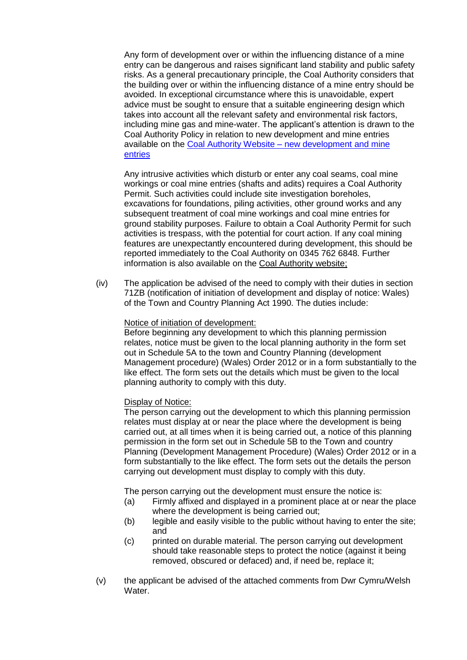Any form of development over or within the influencing distance of a mine entry can be dangerous and raises significant land stability and public safety risks. As a general precautionary principle, the Coal Authority considers that the building over or within the influencing distance of a mine entry should be avoided. In exceptional circumstance where this is unavoidable, expert advice must be sought to ensure that a suitable engineering design which takes into account all the relevant safety and environmental risk factors, including mine gas and mine-water. The applicant's attention is drawn to the Coal Authority Policy in relation to new development and mine entries available on the Coal Authority Website – [new development and mine](http://www.gov.uk/government/publications/building-on-or-within-the-influencing-distance-of-mine-entries)  [entries](http://www.gov.uk/government/publications/building-on-or-within-the-influencing-distance-of-mine-entries)

Any intrusive activities which disturb or enter any coal seams, coal mine workings or coal mine entries (shafts and adits) requires a Coal Authority Permit. Such activities could include site investigation boreholes, excavations for foundations, piling activities, other ground works and any subsequent treatment of coal mine workings and coal mine entries for ground stability purposes. Failure to obtain a Coal Authority Permit for such activities is trespass, with the potential for court action. If any coal mining features are unexpectantly encountered during development, this should be reported immediately to the Coal Authority on 0345 762 6848. Further information is also available on the [Coal Authority website;](https://www.gov.uk/government/organisations/the-coal-authority)

(iv) The application be advised of the need to comply with their duties in section 71ZB (notification of initiation of development and display of notice: Wales) of the Town and Country Planning Act 1990. The duties include:

#### Notice of initiation of development:

Before beginning any development to which this planning permission relates, notice must be given to the local planning authority in the form set out in Schedule 5A to the town and Country Planning (development Management procedure) (Wales) Order 2012 or in a form substantially to the like effect. The form sets out the details which must be given to the local planning authority to comply with this duty.

# Display of Notice:

The person carrying out the development to which this planning permission relates must display at or near the place where the development is being carried out, at all times when it is being carried out, a notice of this planning permission in the form set out in Schedule 5B to the Town and country Planning (Development Management Procedure) (Wales) Order 2012 or in a form substantially to the like effect. The form sets out the details the person carrying out development must display to comply with this duty.

The person carrying out the development must ensure the notice is:

- (a) Firmly affixed and displayed in a prominent place at or near the place where the development is being carried out;
- (b) legible and easily visible to the public without having to enter the site; and
- (c) printed on durable material. The person carrying out development should take reasonable steps to protect the notice (against it being removed, obscured or defaced) and, if need be, replace it;
- (v) the applicant be advised of the attached comments from Dwr Cymru/Welsh Water.